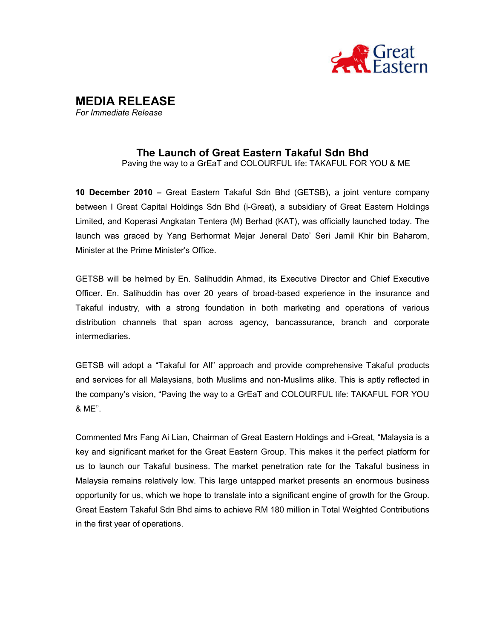

# MEDIA RELEASE

For Immediate Release

## The Launch of Great Eastern Takaful Sdn Bhd

Paving the way to a GrEaT and COLOURFUL life: TAKAFUL FOR YOU & ME

10 December 2010 – Great Eastern Takaful Sdn Bhd (GETSB), a joint venture company between I Great Capital Holdings Sdn Bhd (i-Great), a subsidiary of Great Eastern Holdings Limited, and Koperasi Angkatan Tentera (M) Berhad (KAT), was officially launched today. The launch was graced by Yang Berhormat Mejar Jeneral Dato' Seri Jamil Khir bin Baharom, Minister at the Prime Minister's Office.

GETSB will be helmed by En. Salihuddin Ahmad, its Executive Director and Chief Executive Officer. En. Salihuddin has over 20 years of broad-based experience in the insurance and Takaful industry, with a strong foundation in both marketing and operations of various distribution channels that span across agency, bancassurance, branch and corporate intermediaries.

GETSB will adopt a "Takaful for All" approach and provide comprehensive Takaful products and services for all Malaysians, both Muslims and non-Muslims alike. This is aptly reflected in the company's vision, "Paving the way to a GrEaT and COLOURFUL life: TAKAFUL FOR YOU & ME".

Commented Mrs Fang Ai Lian, Chairman of Great Eastern Holdings and i-Great, "Malaysia is a key and significant market for the Great Eastern Group. This makes it the perfect platform for us to launch our Takaful business. The market penetration rate for the Takaful business in Malaysia remains relatively low. This large untapped market presents an enormous business opportunity for us, which we hope to translate into a significant engine of growth for the Group. Great Eastern Takaful Sdn Bhd aims to achieve RM 180 million in Total Weighted Contributions in the first year of operations.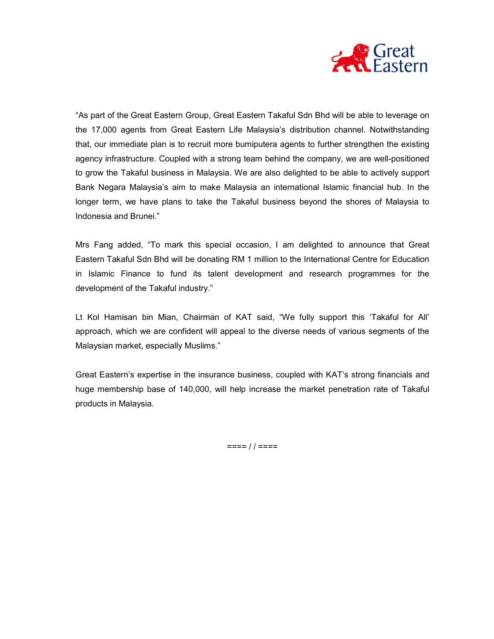

"As part of the Great Eastern Group, Great Eastern Takaful Sdn Bhd will be able to leverage on the 17,000 agents from Great Eastern Life Malaysia's distribution channel. Notwithstanding that, our immediate plan is to recruit more bumiputera agents to further strengthen the existing agency infrastructure. Coupled with a strong team behind the company, we are well-positioned to grow the Takaful business in Malaysia. We are also delighted to be able to actively support Bank Negara Malaysia's aim to make Malaysia an international Islamic financial hub. In the longer term, we have plans to take the Takaful business beyond the shores of Malaysia to Indonesia and Brunei."

Mrs Fang added, "To mark this special occasion, I am delighted to announce that Great Eastern Takaful Sdn Bhd will be donating RM 1 million to the International Centre for Education in Islamic Finance to fund its talent development and research programmes for the development of the Takaful industry."

Lt Kol Hamisan bin Mian, Chairman of KAT said, "We fully support this 'Takaful for All' approach, which we are confident will appeal to the diverse needs of various segments of the Malaysian market, especially Muslims."

Great Eastern's expertise in the insurance business, coupled with KAT's strong financials and huge membership base of 140,000, will help increase the market penetration rate of Takaful products in Malaysia.

 $==== 1 / ====$